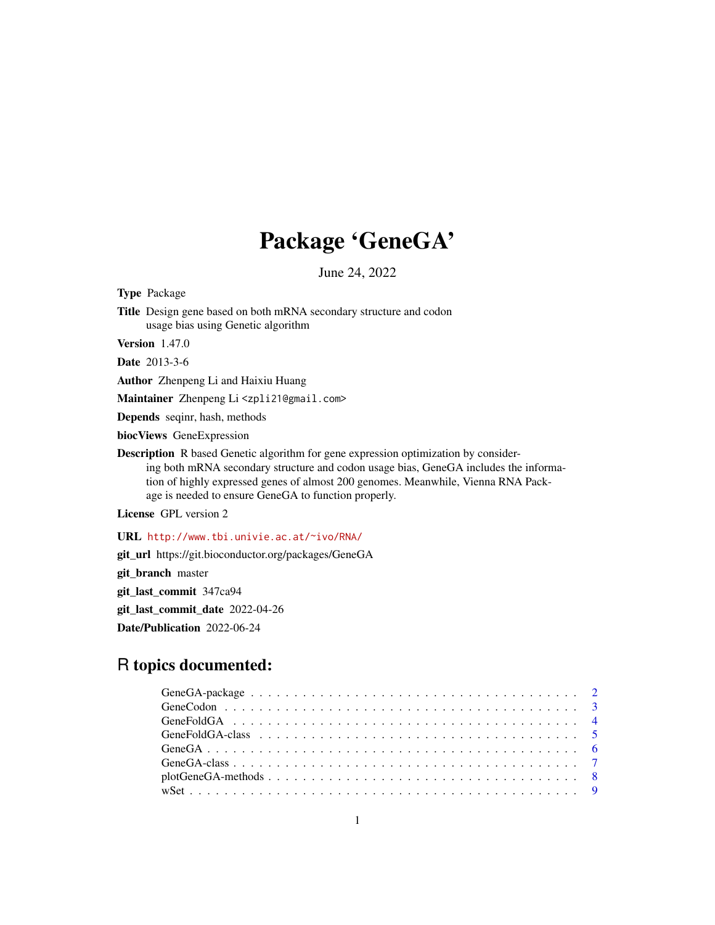## Package 'GeneGA'

June 24, 2022

<span id="page-0-0"></span>Type Package

Title Design gene based on both mRNA secondary structure and codon usage bias using Genetic algorithm

Version 1.47.0

Date 2013-3-6

Author Zhenpeng Li and Haixiu Huang

Maintainer Zhenpeng Li <zpli21@gmail.com>

Depends seqinr, hash, methods

biocViews GeneExpression

Description R based Genetic algorithm for gene expression optimization by considering both mRNA secondary structure and codon usage bias, GeneGA includes the information of highly expressed genes of almost 200 genomes. Meanwhile, Vienna RNA Package is needed to ensure GeneGA to function properly.

License GPL version 2

URL <http://www.tbi.univie.ac.at/~ivo/RNA/>

git\_url https://git.bioconductor.org/packages/GeneGA

git\_branch master

git\_last\_commit 347ca94

git\_last\_commit\_date 2022-04-26

Date/Publication 2022-06-24

### R topics documented: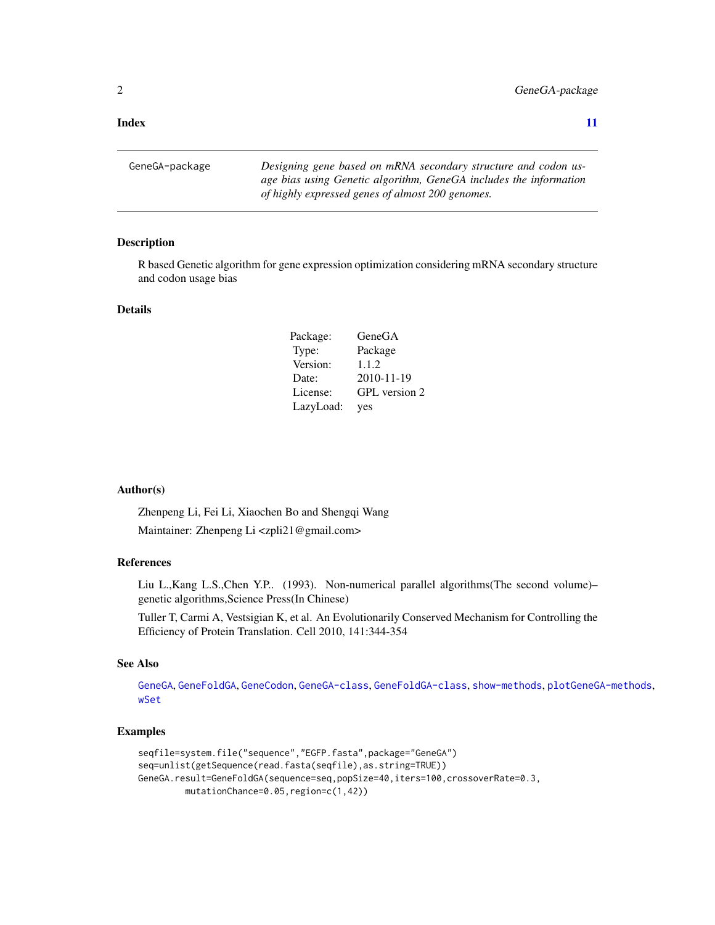#### <span id="page-1-0"></span>**Index** [11](#page-10-0)

GeneGA-package *Designing gene based on mRNA secondary structure and codon usage bias using Genetic algorithm, GeneGA includes the information of highly expressed genes of almost 200 genomes.*

#### Description

R based Genetic algorithm for gene expression optimization considering mRNA secondary structure and codon usage bias

#### Details

| Package:  | GeneGA        |
|-----------|---------------|
| Type:     | Package       |
| Version:  | 1.1.2         |
| Date:     | 2010-11-19    |
| License:  | GPL version 2 |
| LazyLoad: | yes           |

#### Author(s)

Zhenpeng Li, Fei Li, Xiaochen Bo and Shengqi Wang Maintainer: Zhenpeng Li <zpli21@gmail.com>

#### References

Liu L.,Kang L.S.,Chen Y.P.. (1993). Non-numerical parallel algorithms(The second volume)– genetic algorithms,Science Press(In Chinese)

Tuller T, Carmi A, Vestsigian K, et al. An Evolutionarily Conserved Mechanism for Controlling the Efficiency of Protein Translation. Cell 2010, 141:344-354

#### See Also

[GeneGA](#page-5-1), [GeneFoldGA](#page-3-1), [GeneCodon](#page-2-1), [GeneGA-class](#page-6-1), [GeneFoldGA-class](#page-4-1), [show-methods](#page-0-0), [plotGeneGA-methods](#page-7-1), [wSet](#page-8-1)

#### Examples

```
seqfile=system.file("sequence","EGFP.fasta",package="GeneGA")
seq=unlist(getSequence(read.fasta(seqfile),as.string=TRUE))
GeneGA.result=GeneFoldGA(sequence=seq,popSize=40,iters=100,crossoverRate=0.3,
        mutationChance=0.05,region=c(1,42))
```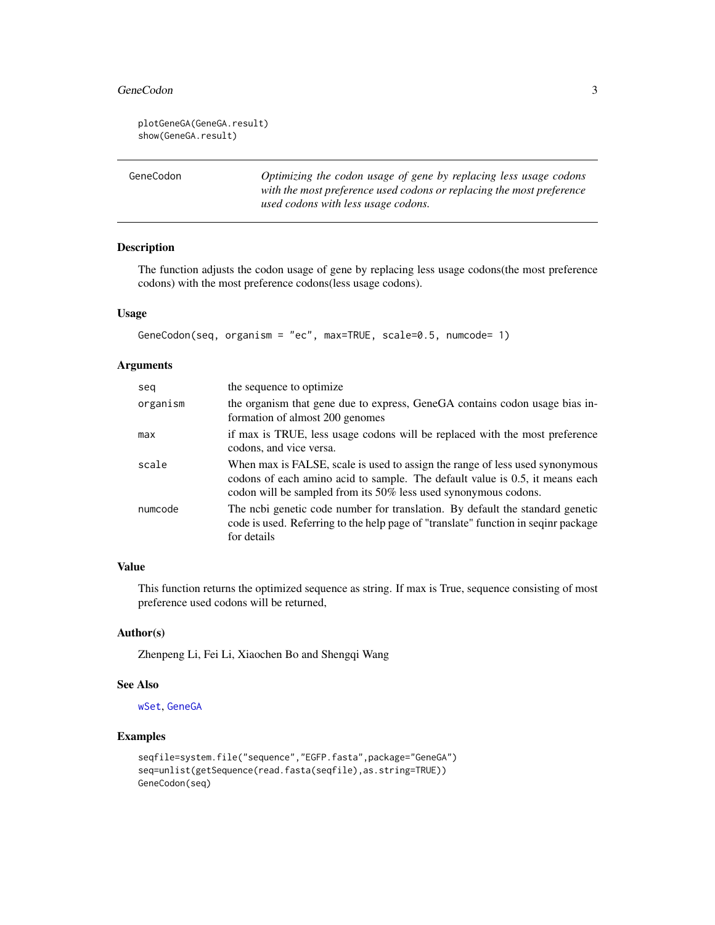#### <span id="page-2-0"></span>GeneCodon 3

```
plotGeneGA(GeneGA.result)
show(GeneGA.result)
```
<span id="page-2-1"></span>GeneCodon *Optimizing the codon usage of gene by replacing less usage codons with the most preference used codons or replacing the most preference used codons with less usage codons.*

#### Description

The function adjusts the codon usage of gene by replacing less usage codons(the most preference codons) with the most preference codons(less usage codons).

#### Usage

```
GeneCodon(seq, organism = "ec", max=TRUE, scale=0.5, numcode= 1)
```
#### Arguments

| seg      | the sequence to optimize.                                                                                                                                                                                                       |
|----------|---------------------------------------------------------------------------------------------------------------------------------------------------------------------------------------------------------------------------------|
| organism | the organism that gene due to express, GeneGA contains codon usage bias in-<br>formation of almost 200 genomes                                                                                                                  |
| max      | if max is TRUE, less usage codons will be replaced with the most preference<br>codons, and vice versa.                                                                                                                          |
| scale    | When max is FALSE, scale is used to assign the range of less used synonymous<br>codons of each amino acid to sample. The default value is 0.5, it means each<br>codon will be sampled from its 50% less used synonymous codons. |
| numcode  | The nobi genetic code number for translation. By default the standard genetic<br>code is used. Referring to the help page of "translate" function in seqinr package<br>for details                                              |

#### Value

This function returns the optimized sequence as string. If max is True, sequence consisting of most preference used codons will be returned,

#### Author(s)

Zhenpeng Li, Fei Li, Xiaochen Bo and Shengqi Wang

#### See Also

[wSet](#page-8-1), [GeneGA](#page-5-1)

#### Examples

```
seqfile=system.file("sequence","EGFP.fasta",package="GeneGA")
seq=unlist(getSequence(read.fasta(seqfile),as.string=TRUE))
GeneCodon(seq)
```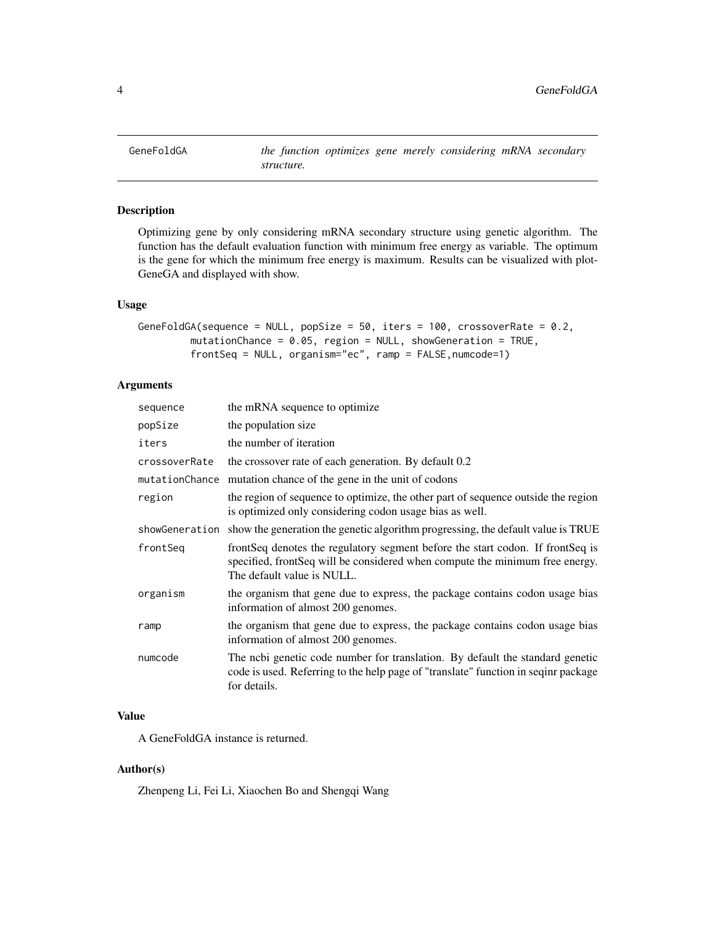<span id="page-3-1"></span><span id="page-3-0"></span>

#### Description

Optimizing gene by only considering mRNA secondary structure using genetic algorithm. The function has the default evaluation function with minimum free energy as variable. The optimum is the gene for which the minimum free energy is maximum. Results can be visualized with plot-GeneGA and displayed with show.

#### Usage

```
GeneFoldGA(sequence = NULL, popSize = 50, iters = 100, crossoverRate = 0.2,
        mutationChance = 0.05, region = NULL, showGeneration = TRUE,
         frontSeq = NULL, organism="ec", ramp = FALSE,numcode=1)
```
#### Arguments

| sequence       | the mRNA sequence to optimize                                                                                                                                                                |
|----------------|----------------------------------------------------------------------------------------------------------------------------------------------------------------------------------------------|
| popSize        | the population size                                                                                                                                                                          |
| iters          | the number of iteration                                                                                                                                                                      |
| crossoverRate  | the crossover rate of each generation. By default 0.2                                                                                                                                        |
|                | mutationChance mutation chance of the gene in the unit of codons                                                                                                                             |
| region         | the region of sequence to optimize, the other part of sequence outside the region<br>is optimized only considering codon usage bias as well.                                                 |
| showGeneration | show the generation the genetic algorithm progressing, the default value is TRUE                                                                                                             |
| frontSeg       | frontSeq denotes the regulatory segment before the start codon. If frontSeq is<br>specified, frontSeq will be considered when compute the minimum free energy.<br>The default value is NULL. |
| organism       | the organism that gene due to express, the package contains codon usage bias<br>information of almost 200 genomes.                                                                           |
| ramp           | the organism that gene due to express, the package contains codon usage bias<br>information of almost 200 genomes.                                                                           |
| numcode        | The nobi genetic code number for translation. By default the standard genetic<br>code is used. Referring to the help page of "translate" function in seqinr package<br>for details.          |

#### Value

A GeneFoldGA instance is returned.

#### Author(s)

Zhenpeng Li, Fei Li, Xiaochen Bo and Shengqi Wang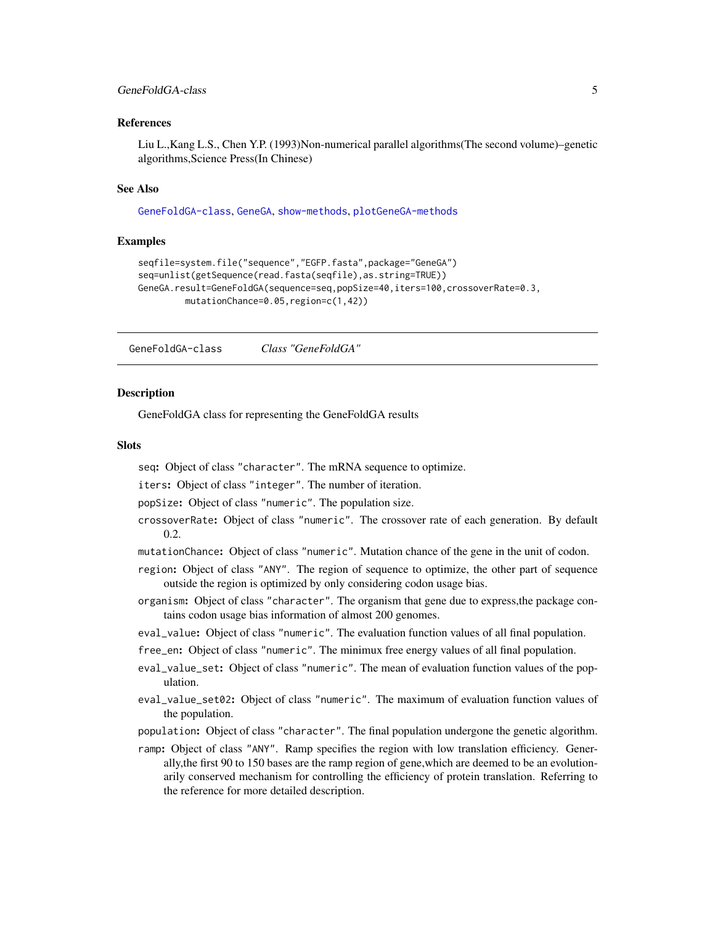#### <span id="page-4-0"></span>GeneFoldGA-class 5

#### References

Liu L.,Kang L.S., Chen Y.P. (1993)Non-numerical parallel algorithms(The second volume)–genetic algorithms,Science Press(In Chinese)

#### See Also

[GeneFoldGA-class](#page-4-1), [GeneGA](#page-5-1), [show-methods](#page-0-0), [plotGeneGA-methods](#page-7-1)

#### Examples

```
seqfile=system.file("sequence","EGFP.fasta",package="GeneGA")
seq=unlist(getSequence(read.fasta(seqfile),as.string=TRUE))
GeneGA.result=GeneFoldGA(sequence=seq,popSize=40,iters=100,crossoverRate=0.3,
        mutationChance=0.05,region=c(1,42))
```
<span id="page-4-1"></span>GeneFoldGA-class *Class "GeneFoldGA"*

#### **Description**

GeneFoldGA class for representing the GeneFoldGA results

#### **Slots**

seq: Object of class "character". The mRNA sequence to optimize.

iters: Object of class "integer". The number of iteration.

popSize: Object of class "numeric". The population size.

- crossoverRate: Object of class "numeric". The crossover rate of each generation. By default 0.2.
- mutationChance: Object of class "numeric". Mutation chance of the gene in the unit of codon.
- region: Object of class "ANY". The region of sequence to optimize, the other part of sequence outside the region is optimized by only considering codon usage bias.
- organism: Object of class "character". The organism that gene due to express,the package contains codon usage bias information of almost 200 genomes.
- eval\_value: Object of class "numeric". The evaluation function values of all final population.
- free\_en: Object of class "numeric". The minimux free energy values of all final population.
- eval\_value\_set: Object of class "numeric". The mean of evaluation function values of the population.
- eval\_value\_set02: Object of class "numeric". The maximum of evaluation function values of the population.
- population: Object of class "character". The final population undergone the genetic algorithm.
- ramp: Object of class "ANY". Ramp specifies the region with low translation efficiency. Generally,the first 90 to 150 bases are the ramp region of gene,which are deemed to be an evolutionarily conserved mechanism for controlling the efficiency of protein translation. Referring to the reference for more detailed description.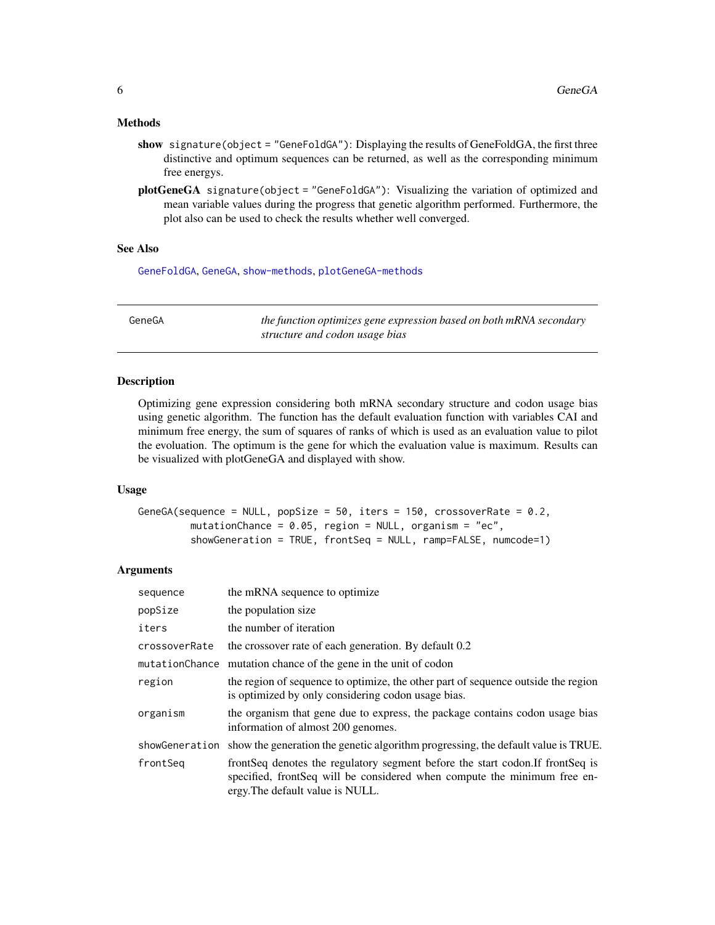#### <span id="page-5-0"></span>Methods

- show signature(object = "GeneFoldGA"): Displaying the results of GeneFoldGA, the first three distinctive and optimum sequences can be returned, as well as the corresponding minimum free energys.
- plotGeneGA signature(object = "GeneFoldGA"): Visualizing the variation of optimized and mean variable values during the progress that genetic algorithm performed. Furthermore, the plot also can be used to check the results whether well converged.

#### See Also

[GeneFoldGA](#page-3-1), [GeneGA](#page-5-1), [show-methods](#page-0-0), [plotGeneGA-methods](#page-7-1)

<span id="page-5-1"></span>GeneGA *the function optimizes gene expression based on both mRNA secondary structure and codon usage bias*

#### **Description**

Optimizing gene expression considering both mRNA secondary structure and codon usage bias using genetic algorithm. The function has the default evaluation function with variables CAI and minimum free energy, the sum of squares of ranks of which is used as an evaluation value to pilot the evoluation. The optimum is the gene for which the evaluation value is maximum. Results can be visualized with plotGeneGA and displayed with show.

#### Usage

```
GeneGA(sequence = NULL, popSize = 50, iters = 150, crossoverRate = 0.2,
        mutationChance = 0.05, region = NULL, organism = "ec",
         showGeneration = TRUE, frontSeq = NULL, ramp=FALSE, numcode=1)
```
#### Arguments

| sequence       | the mRNA sequence to optimize                                                                                                                                                                    |
|----------------|--------------------------------------------------------------------------------------------------------------------------------------------------------------------------------------------------|
| popSize        | the population size                                                                                                                                                                              |
| iters          | the number of iteration                                                                                                                                                                          |
| crossoverRate  | the crossover rate of each generation. By default 0.2                                                                                                                                            |
|                | mutationChance mutation chance of the gene in the unit of codon                                                                                                                                  |
| region         | the region of sequence to optimize, the other part of sequence outside the region<br>is optimized by only considering codon usage bias.                                                          |
| organism       | the organism that gene due to express, the package contains codon usage bias<br>information of almost 200 genomes.                                                                               |
| showGeneration | show the generation the genetic algorithm progressing, the default value is TRUE.                                                                                                                |
| frontSeg       | front Seq denotes the regulatory segment before the start codon. If front Seq is<br>specified, frontSeq will be considered when compute the minimum free en-<br>ergy. The default value is NULL. |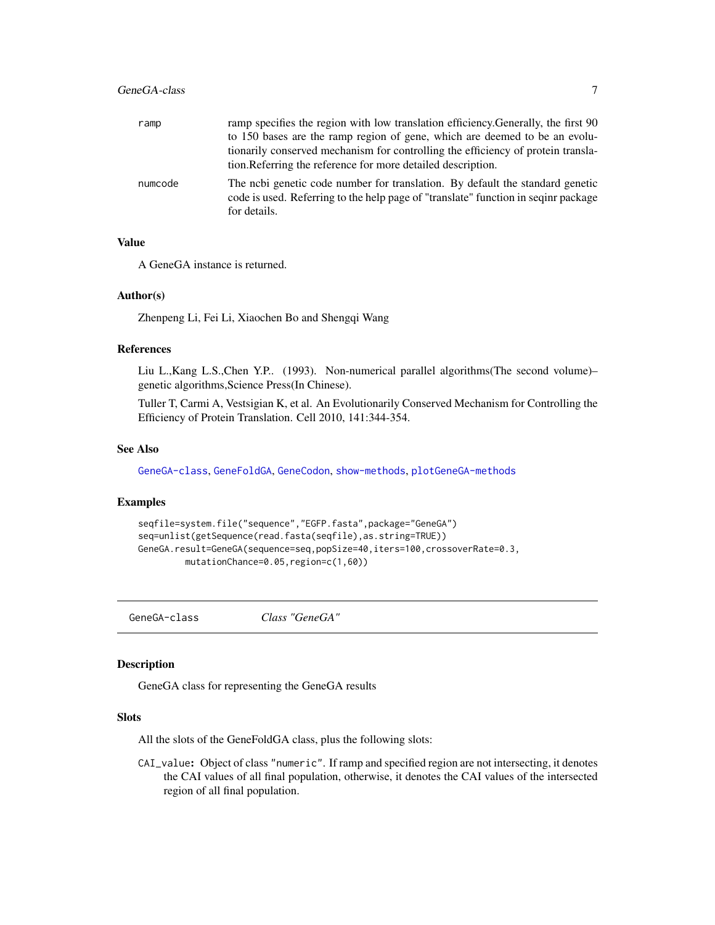<span id="page-6-0"></span>

| ramp    | ramp specifies the region with low translation efficiency. Generally, the first 90                                                                                                  |
|---------|-------------------------------------------------------------------------------------------------------------------------------------------------------------------------------------|
|         | to 150 bases are the ramp region of gene, which are deemed to be an evolu-                                                                                                          |
|         | tionarily conserved mechanism for controlling the efficiency of protein transla-                                                                                                    |
|         | tion. Referring the reference for more detailed description.                                                                                                                        |
| numcode | The nobi genetic code number for translation. By default the standard genetic<br>code is used. Referring to the help page of "translate" function in seqinr package<br>for details. |

#### Value

A GeneGA instance is returned.

#### Author(s)

Zhenpeng Li, Fei Li, Xiaochen Bo and Shengqi Wang

#### References

Liu L.,Kang L.S.,Chen Y.P.. (1993). Non-numerical parallel algorithms(The second volume)– genetic algorithms,Science Press(In Chinese).

Tuller T, Carmi A, Vestsigian K, et al. An Evolutionarily Conserved Mechanism for Controlling the Efficiency of Protein Translation. Cell 2010, 141:344-354.

#### See Also

[GeneGA-class](#page-6-1), [GeneFoldGA](#page-3-1), [GeneCodon](#page-2-1), [show-methods](#page-0-0), [plotGeneGA-methods](#page-7-1)

#### Examples

```
seqfile=system.file("sequence","EGFP.fasta",package="GeneGA")
seq=unlist(getSequence(read.fasta(seqfile),as.string=TRUE))
GeneGA.result=GeneGA(sequence=seq,popSize=40,iters=100,crossoverRate=0.3,
        mutationChance=0.05,region=c(1,60))
```
<span id="page-6-1"></span>GeneGA-class *Class "GeneGA"*

#### Description

GeneGA class for representing the GeneGA results

#### Slots

All the slots of the GeneFoldGA class, plus the following slots:

CAI\_value: Object of class "numeric". If ramp and specified region are not intersecting, it denotes the CAI values of all final population, otherwise, it denotes the CAI values of the intersected region of all final population.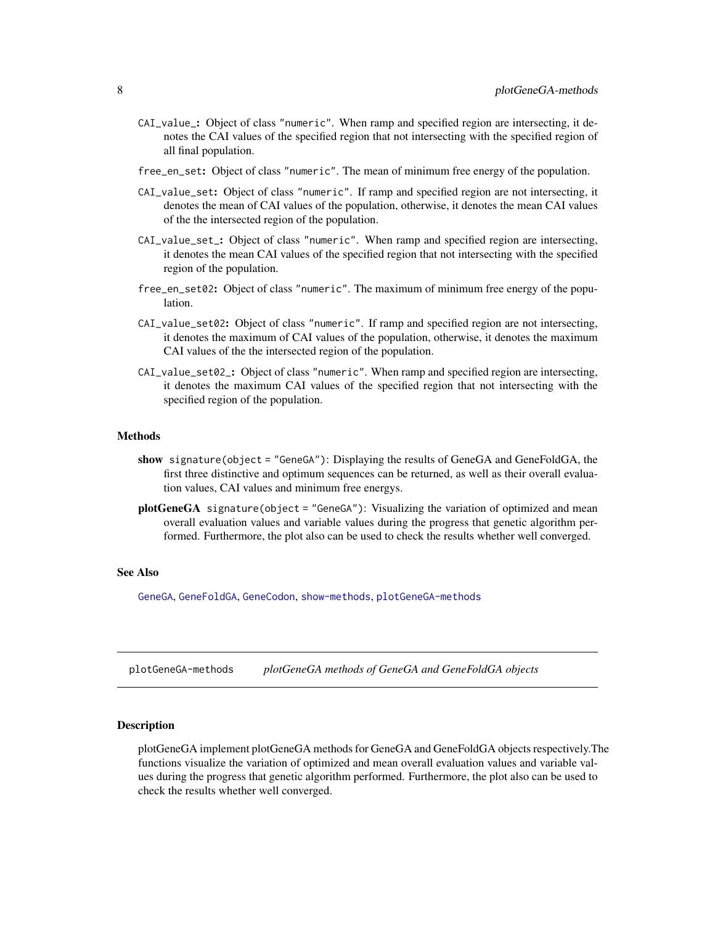- <span id="page-7-0"></span>CAI\_value\_: Object of class "numeric". When ramp and specified region are intersecting, it denotes the CAI values of the specified region that not intersecting with the specified region of all final population.
- free\_en\_set: Object of class "numeric". The mean of minimum free energy of the population.
- CAI\_value\_set: Object of class "numeric". If ramp and specified region are not intersecting, it denotes the mean of CAI values of the population, otherwise, it denotes the mean CAI values of the the intersected region of the population.
- CAI\_value\_set\_: Object of class "numeric". When ramp and specified region are intersecting, it denotes the mean CAI values of the specified region that not intersecting with the specified region of the population.
- free\_en\_set02: Object of class "numeric". The maximum of minimum free energy of the population.
- CAI\_value\_set02: Object of class "numeric". If ramp and specified region are not intersecting, it denotes the maximum of CAI values of the population, otherwise, it denotes the maximum CAI values of the the intersected region of the population.
- CAI\_value\_set02\_: Object of class "numeric". When ramp and specified region are intersecting, it denotes the maximum CAI values of the specified region that not intersecting with the specified region of the population.

#### Methods

- show signature(object = "GeneGA"): Displaying the results of GeneGA and GeneFoldGA, the first three distinctive and optimum sequences can be returned, as well as their overall evaluation values, CAI values and minimum free energys.
- **plotGeneGA** signature(object = "GeneGA"): Visualizing the variation of optimized and mean overall evaluation values and variable values during the progress that genetic algorithm performed. Furthermore, the plot also can be used to check the results whether well converged.

#### See Also

[GeneGA](#page-5-1), [GeneFoldGA](#page-3-1), [GeneCodon](#page-2-1), [show-methods](#page-0-0), [plotGeneGA-methods](#page-7-1)

<span id="page-7-1"></span>plotGeneGA-methods *plotGeneGA methods of GeneGA and GeneFoldGA objects*

#### Description

plotGeneGA implement plotGeneGA methods for GeneGA and GeneFoldGA objects respectively.The functions visualize the variation of optimized and mean overall evaluation values and variable values during the progress that genetic algorithm performed. Furthermore, the plot also can be used to check the results whether well converged.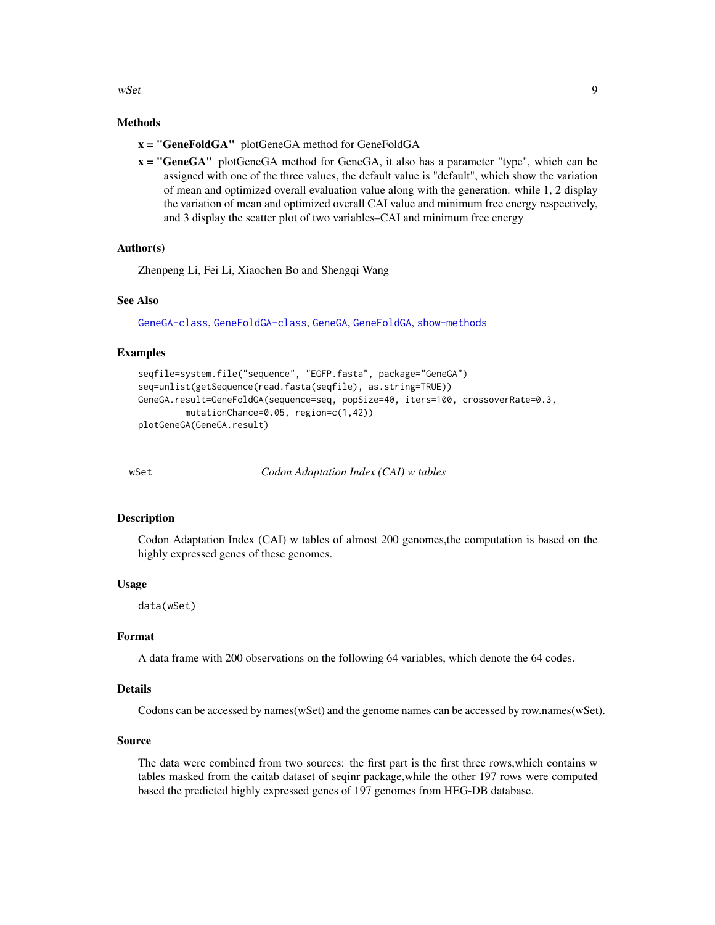<span id="page-8-0"></span> $wSet$  9

#### Methods

- x = "GeneFoldGA" plotGeneGA method for GeneFoldGA
- $x = "GeneGA"$  plotGeneGA method for GeneGA, it also has a parameter "type", which can be assigned with one of the three values, the default value is "default", which show the variation of mean and optimized overall evaluation value along with the generation. while 1, 2 display the variation of mean and optimized overall CAI value and minimum free energy respectively, and 3 display the scatter plot of two variables–CAI and minimum free energy

#### Author(s)

Zhenpeng Li, Fei Li, Xiaochen Bo and Shengqi Wang

#### See Also

[GeneGA-class](#page-6-1), [GeneFoldGA-class](#page-4-1), [GeneGA](#page-5-1), [GeneFoldGA](#page-3-1), [show-methods](#page-0-0)

#### Examples

```
seqfile=system.file("sequence", "EGFP.fasta", package="GeneGA")
seq=unlist(getSequence(read.fasta(seqfile), as.string=TRUE))
GeneGA.result=GeneFoldGA(sequence=seq, popSize=40, iters=100, crossoverRate=0.3,
        mutationChance=0.05, region=c(1,42))
plotGeneGA(GeneGA.result)
```
<span id="page-8-1"></span>

wSet *Codon Adaptation Index (CAI) w tables*

#### Description

Codon Adaptation Index (CAI) w tables of almost 200 genomes,the computation is based on the highly expressed genes of these genomes.

#### Usage

data(wSet)

#### Format

A data frame with 200 observations on the following 64 variables, which denote the 64 codes.

#### Details

Codons can be accessed by names(wSet) and the genome names can be accessed by row.names(wSet).

#### Source

The data were combined from two sources: the first part is the first three rows,which contains w tables masked from the caitab dataset of seqinr package,while the other 197 rows were computed based the predicted highly expressed genes of 197 genomes from HEG-DB database.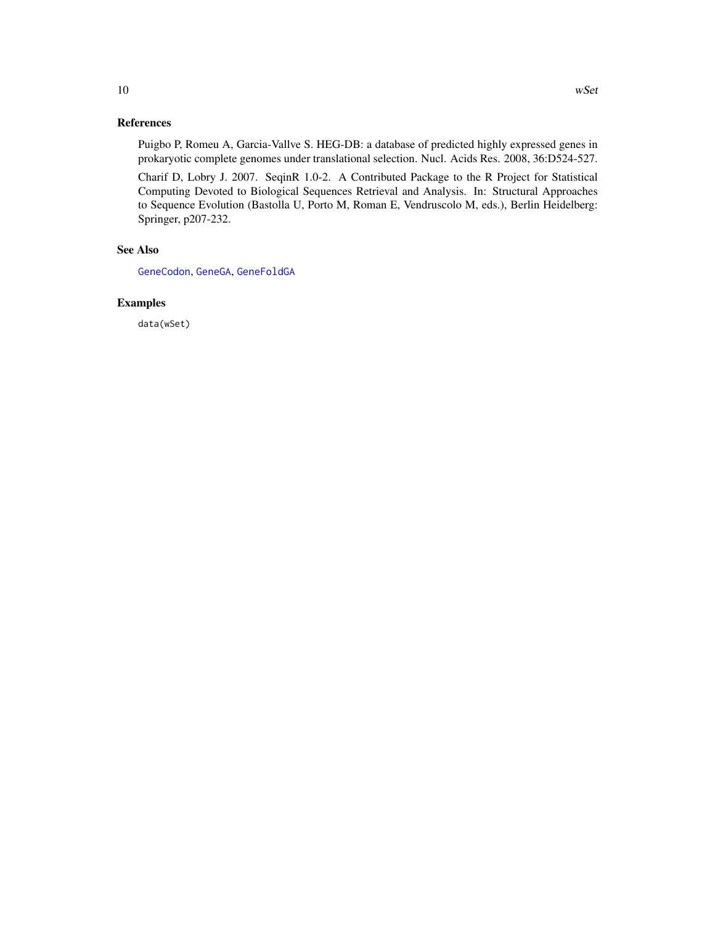#### <span id="page-9-0"></span>References

Puigbo P, Romeu A, Garcia-Vallve S. HEG-DB: a database of predicted highly expressed genes in prokaryotic complete genomes under translational selection. Nucl. Acids Res. 2008, 36:D524-527.

Charif D, Lobry J. 2007. SeqinR 1.0-2. A Contributed Package to the R Project for Statistical Computing Devoted to Biological Sequences Retrieval and Analysis. In: Structural Approaches to Sequence Evolution (Bastolla U, Porto M, Roman E, Vendruscolo M, eds.), Berlin Heidelberg: Springer, p207-232.

#### See Also

[GeneCodon](#page-2-1), [GeneGA](#page-5-1), [GeneFoldGA](#page-3-1)

#### Examples

data(wSet)